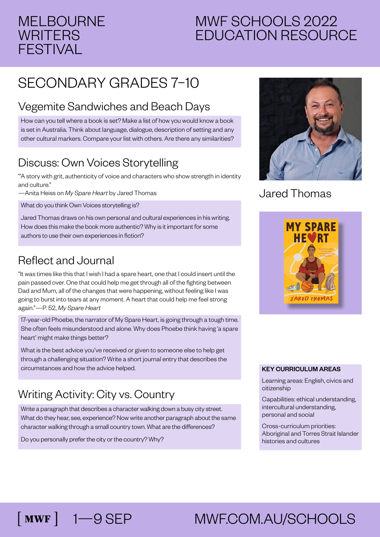## MELBOURNE **WRITERS** FESTIVAL

# MWF SCHOOLS 2022 EDUCATION RESOURCE

# SECONDARY GRADES 7–10

### Vegemite Sandwiches and Beach Days

How can you tell where a book is set? Make a list of how you would know a book is set in Australia. Think about language, dialogue, description of setting and any other cultural markers. Compare your list with others. Are there any similarities?

# Discuss: Own Voices Storytelling

'"A story with grit, authenticity of voice and characters who show strength in identity and culture."

—Anita Heiss on *My Spare Heart* by Jared Thomas

What do you think Own Voices storytelling is?

Jared Thomas draws on his own personal and cultural experiences in his writing. How does this make the book more authentic? Why is it important for some authors to use their own experiences in fiction?

### Reflect and Journal

"It was times like this that I wish I had a spare heart, one that I could insert until the pain passed over. One that could help me get through all of the fighting between Dad and Mum, all of the changes that were happening, without feeling like I was going to burst into tears at any moment. A heart that could help me feel strong again."—P. 52, *My Spare Heart*

17-year-old Phoebe, the narrator of My Spare Heart, is going through a tough time. She often feels misunderstood and alone. Why does Phoebe think having 'a spare heart' might make things better?

What is the best advice you've received or given to someone else to help get through a challenging situation? Write a short journal entry that describes the circumstances and how the advice helped.

## Writing Activity: City vs. Country

Write a paragraph that describes a character walking down a busy city street. What do they hear, see, experience? Now write another paragraph about the same character walking through a small country town. What are the differences?

Do you personally prefer the city or the country? Why?



#### Jared Thomas



#### KEY CURRICULUM AREAS

Learning areas: English, civics and citizenship

Capabilities: ethical understanding, intercultural understanding, personal and social

Cross-curriculum priorities: Aboriginal and Torres Strait Islander histories and cultures

# 1—9 SEP MWF.COM.AU/SCHOOLS